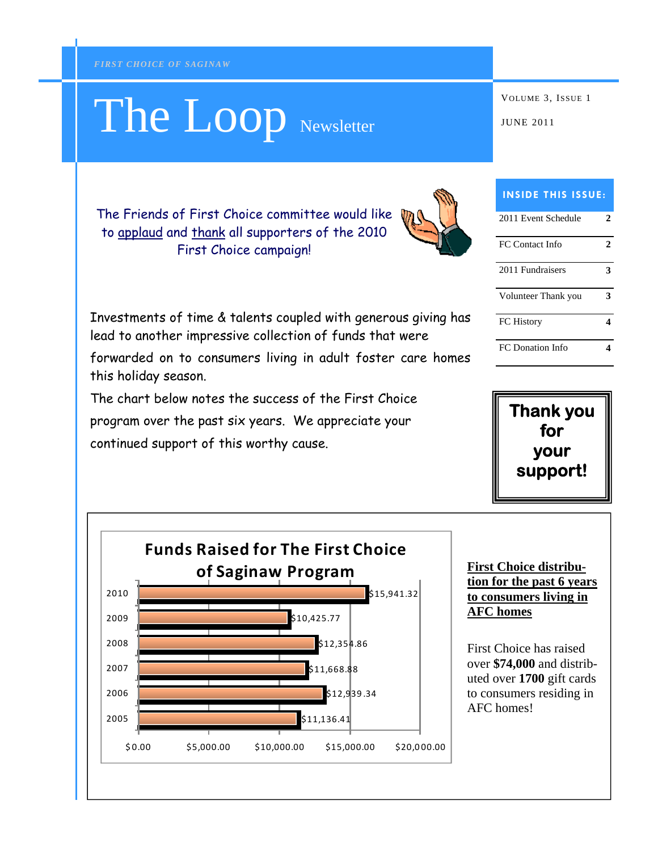this holiday season.

# The Loop Newsletter WOLUME 3, ISSUE 1

| <b>INSIDE THIS ISSUE:</b> |   |
|---------------------------|---|
| 2011 Event Schedule       | 2 |
| FC Contact Info           | 2 |
| 2011 Fundraisers          | 3 |
| Volunteer Thank you       | ว |
| <b>FC</b> History         |   |
| <b>FC</b> Donation Info   |   |





The Friends of First Choice committee would like to applaud and thank all supporters of the 2010 First Choice campaign!

Investments of time & talents coupled with generous giving has

forwarded on to consumers living in adult foster care homes

lead to another impressive collection of funds that were

The chart below notes the success of the First Choice

program over the past six years. We appreciate your

continued support of this worthy cause.

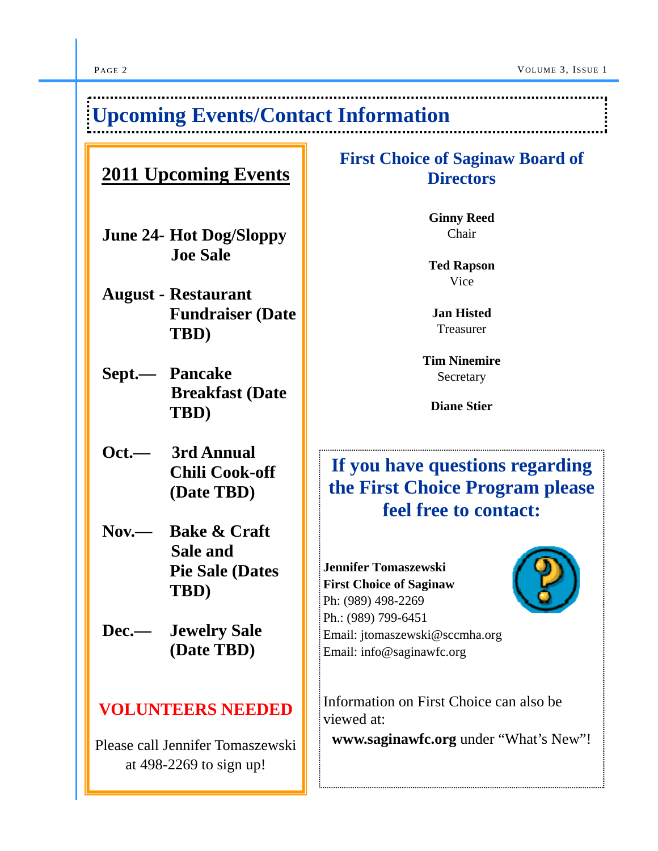# **Upcoming Events/Contact Information**

### **2011 Upcoming Events**

- **June 24- Hot Dog/Sloppy Joe Sale**
- **August Restaurant Fundraiser (Date TBD)**
- **Sept.— Pancake Breakfast (Date TBD)**
- **Oct.— 3rd Annual Chili Cook-off (Date TBD)**
- **Nov.— Bake & Craft Sale and Pie Sale (Dates TBD)**
- **Dec.— Jewelry Sale (Date TBD)**

#### **VOLUNTEERS NEEDED**

Please call Jennifer Tomaszewski at 498-2269 to sign up!

#### **First Choice of Saginaw Board of Directors**

**Ginny Reed**  Chair

**Ted Rapson** Vice

**Jan Histed**  Treasurer

**Tim Ninemire**  Secretary

**Diane Stier** 

# **If you have questions regarding the First Choice Program please feel free to contact:**

**Jennifer Tomaszewski First Choice of Saginaw** Ph: (989) 498-2269 Ph.: (989) 799-6451 Email: jtomaszewski@sccmha.org Email: info@saginawfc.org

Information on First Choice can also be viewed at:

**www.saginawfc.org** under "What's New"!

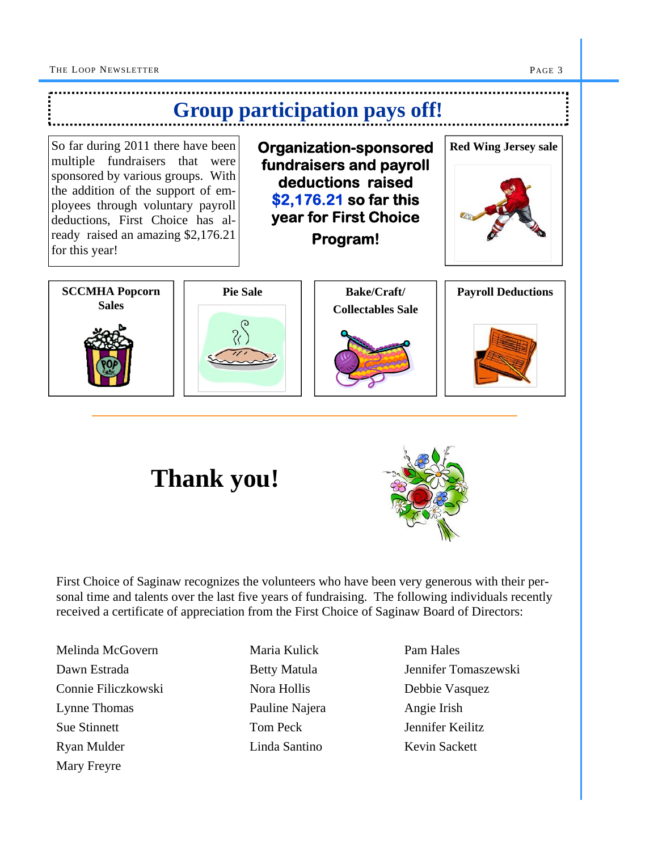





First Choice of Saginaw recognizes the volunteers who have been very generous with their personal time and talents over the last five years of fundraising. The following individuals recently received a certificate of appreciation from the First Choice of Saginaw Board of Directors:

Melinda McGovern Maria Kulick Pam Hales Connie Filiczkowski Nora Hollis Debbie Vasquez Lynne Thomas **Pauline Najera** Angie Irish Sue Stinnett Tom Peck Jennifer Keilitz Ryan Mulder Linda Santino Kevin Sackett Mary Freyre

Dawn Estrada Betty Matula Jennifer Tomaszewski